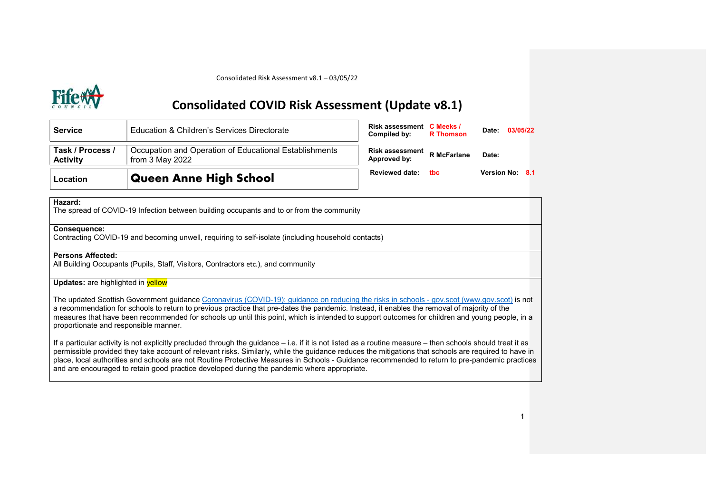# Consolidated COVID Risk Assessment (Update v8.1)

| <b>Service</b>                      | Education & Children's Services Directorate                                 | Risk assessment C Meeks /<br>Compiled by: | <b>R</b> Thomson   | Date:              | 03/05/22 |     |
|-------------------------------------|-----------------------------------------------------------------------------|-------------------------------------------|--------------------|--------------------|----------|-----|
| Task / Process /<br><b>Activity</b> | Occupation and Operation of Educational Establishments<br>from $3$ May 2022 | Risk assessment<br>Approved by:           | <b>R</b> McFarlane | Date:              |          |     |
| Location                            | <b>Queen Anne High School</b>                                               | <b>Reviewed date:</b>                     | thc.               | <b>Version No:</b> |          | 8.1 |

# Hazard:

The spread of COVID-19 Infection between building occupants and to or from the community

# Consequence:

Contracting COVID-19 and becoming unwell, requiring to self-isolate (including household contacts)

# Persons Affected:

All Building Occupants (Pupils, Staff, Visitors, Contractors etc.), and community

# Updates: are highlighted in **yellow**

The updated Scottish Government guidance Coronavirus (COVID-19): guidance on reducing the risks in schools - gov.scot (www.gov.scot) is not a recommendation for schools to return to previous practice that pre-dates the pandemic. Instead, it enables the removal of majority of the measures that have been recommended for schools up until this point, which is intended to support outcomes for children and young people, in a proportionate and responsible manner.

If a particular activity is not explicitly precluded through the guidance – i.e. if it is not listed as a routine measure – then schools should treat it as permissible provided they take account of relevant risks. Similarly, while the guidance reduces the mitigations that schools are required to have in place, local authorities and schools are not Routine Protective Measures in Schools - Guidance recommended to return to pre-pandemic practices and are encouraged to retain good practice developed during the pandemic where appropriate.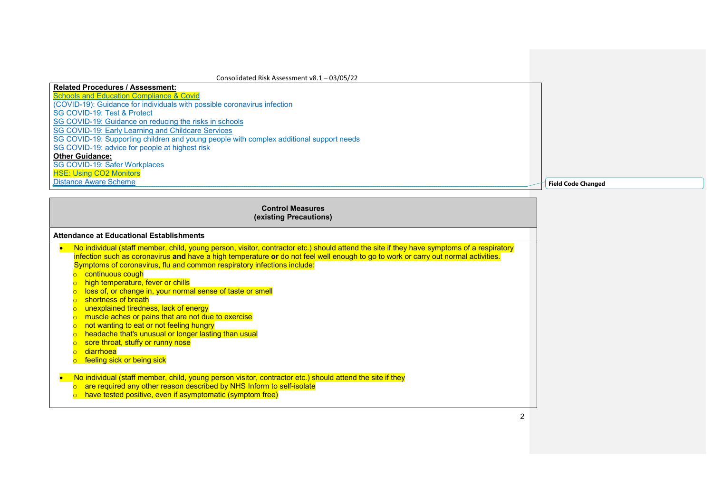# Related Procedures / Assessment: **Schools and Education Compliance & Covid** (COVID-19): Guidance for individuals with possible coronavirus infection SG COVID-19: Test & Protect SG COVID-19: Guidance on reducing the risks in schools SG COVID-19: Early Learning and Childcare Services SG COVID-19: Supporting children and young people with complex additional support needs SG COVID-19: advice for people at highest risk Other Guidance: SG COVID-19: Safer Workplaces HSE: Using CO2 Monitors Distance Aware Scheme Field Code Changed

| <b>Control Measures</b><br>(existing Precautions)                                                                                                                                                                                                                                                                                                                                                                                                                                                                                                                                                                                                                                                                                                                                                                                                     |  |  |  |  |
|-------------------------------------------------------------------------------------------------------------------------------------------------------------------------------------------------------------------------------------------------------------------------------------------------------------------------------------------------------------------------------------------------------------------------------------------------------------------------------------------------------------------------------------------------------------------------------------------------------------------------------------------------------------------------------------------------------------------------------------------------------------------------------------------------------------------------------------------------------|--|--|--|--|
| Attendance at Educational Establishments                                                                                                                                                                                                                                                                                                                                                                                                                                                                                                                                                                                                                                                                                                                                                                                                              |  |  |  |  |
| No individual (staff member, child, young person, visitor, contractor etc.) should attend the site if they have symptoms of a respiratory<br>$\bullet$<br>infection such as coronavirus and have a high temperature or do not feel well enough to go to work or carry out normal activities.<br>Symptoms of coronavirus, flu and common respiratory infections include:<br>continuous cough<br>$\circ$<br>high temperature, fever or chills<br>loss of, or change in, your normal sense of taste or smell<br>shortness of breath<br>$\Omega$<br>unexplained tiredness, lack of energy<br>muscle aches or pains that are not due to exercise<br>not wanting to eat or not feeling hungry<br>$\circ$<br>headache that's unusual or longer lasting than usual<br>$\circ$<br>sore throat, stuffy or runny nose<br>diarrhoea<br>feeling sick or being sick |  |  |  |  |
| No individual (staff member, child, young person visitor, contractor etc.) should attend the site if they<br>$\bullet$<br>are required any other reason described by NHS Inform to self-isolate<br>have tested positive, even if asymptomatic (symptom free)                                                                                                                                                                                                                                                                                                                                                                                                                                                                                                                                                                                          |  |  |  |  |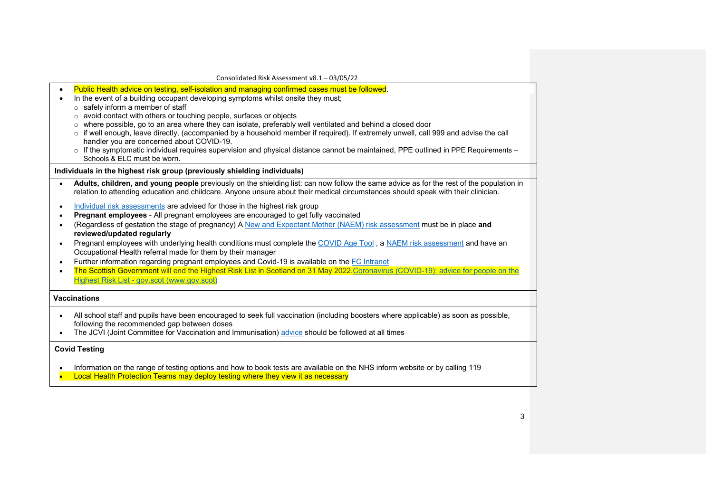| Consolidated Risk Assessment v8.1 - 03/05/22 |
|----------------------------------------------|
|----------------------------------------------|

| $\bullet$ | Public Health advice on testing, self-isolation and managing confirmed cases must be followed.                                                                                                                                                                                |  |  |  |  |  |
|-----------|-------------------------------------------------------------------------------------------------------------------------------------------------------------------------------------------------------------------------------------------------------------------------------|--|--|--|--|--|
|           | In the event of a building occupant developing symptoms whilst onsite they must;<br>$\circ$ safely inform a member of staff                                                                                                                                                   |  |  |  |  |  |
|           | o avoid contact with others or touching people, surfaces or objects                                                                                                                                                                                                           |  |  |  |  |  |
|           | $\circ$ where possible, go to an area where they can isolate, preferably well ventilated and behind a closed door                                                                                                                                                             |  |  |  |  |  |
|           | o if well enough, leave directly, (accompanied by a household member if required). If extremely unwell, call 999 and advise the call                                                                                                                                          |  |  |  |  |  |
|           | handler you are concerned about COVID-19.                                                                                                                                                                                                                                     |  |  |  |  |  |
|           | o If the symptomatic individual requires supervision and physical distance cannot be maintained, PPE outlined in PPE Requirements -                                                                                                                                           |  |  |  |  |  |
|           | Schools & ELC must be worn.                                                                                                                                                                                                                                                   |  |  |  |  |  |
|           | Individuals in the highest risk group (previously shielding individuals)                                                                                                                                                                                                      |  |  |  |  |  |
|           | Adults, children, and young people previously on the shielding list: can now follow the same advice as for the rest of the population in<br>relation to attending education and childcare. Anyone unsure about their medical circumstances should speak with their clinician. |  |  |  |  |  |
| $\bullet$ | Individual risk assessments are advised for those in the highest risk group                                                                                                                                                                                                   |  |  |  |  |  |
|           | Pregnant employees - All pregnant employees are encouraged to get fully vaccinated                                                                                                                                                                                            |  |  |  |  |  |
| $\bullet$ | (Regardless of gestation the stage of pregnancy) A New and Expectant Mother (NAEM) risk assessment must be in place and                                                                                                                                                       |  |  |  |  |  |
|           | reviewed/updated regularly                                                                                                                                                                                                                                                    |  |  |  |  |  |
| $\bullet$ | Pregnant employees with underlying health conditions must complete the COVID Age Tool, a NAEM risk assessment and have an                                                                                                                                                     |  |  |  |  |  |
|           | Occupational Health referral made for them by their manager                                                                                                                                                                                                                   |  |  |  |  |  |
| $\bullet$ | Further information regarding pregnant employees and Covid-19 is available on the FC Intranet                                                                                                                                                                                 |  |  |  |  |  |
| $\bullet$ | The Scottish Government will end the Highest Risk List in Scotland on 31 May 2022.Coronavirus (COVID-19): advice for people on the                                                                                                                                            |  |  |  |  |  |
|           | Highest Risk List - gov.scot (www.gov.scot)                                                                                                                                                                                                                                   |  |  |  |  |  |
|           | <b>Vaccinations</b>                                                                                                                                                                                                                                                           |  |  |  |  |  |
| $\bullet$ | All school staff and pupils have been encouraged to seek full vaccination (including boosters where applicable) as soon as possible,                                                                                                                                          |  |  |  |  |  |
|           | following the recommended gap between doses                                                                                                                                                                                                                                   |  |  |  |  |  |
| $\bullet$ | The JCVI (Joint Committee for Vaccination and Immunisation) advice should be followed at all times                                                                                                                                                                            |  |  |  |  |  |
|           | <b>Covid Testing</b>                                                                                                                                                                                                                                                          |  |  |  |  |  |
|           | Information on the range of testing options and how to book tests are available on the NHS inform website or by calling 119                                                                                                                                                   |  |  |  |  |  |
|           | Local Health Protection Teams may deploy testing where they view it as necessary                                                                                                                                                                                              |  |  |  |  |  |
|           |                                                                                                                                                                                                                                                                               |  |  |  |  |  |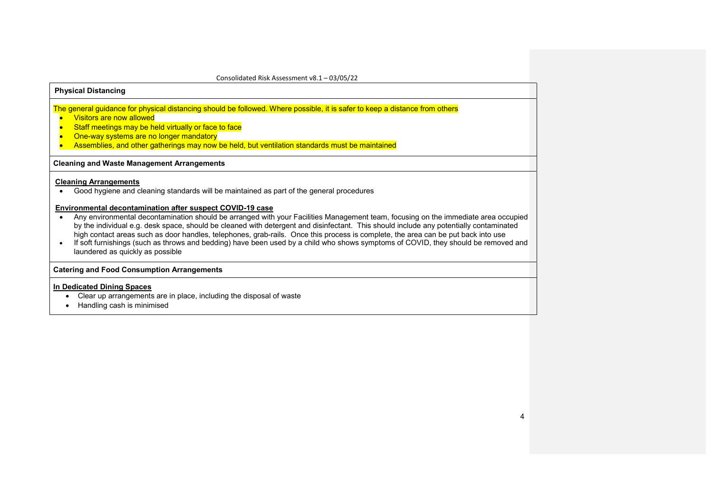# Physical Distancing

The general guidance for physical distancing should be followed. Where possible, it is safer to keep a distance from others

- **Visitors are now allowed**
- Staff meetings may be held virtually or face to face
- One-way systems are no longer mandatory
- Assemblies, and other gatherings may now be held, but ventilation standards must be maintained

#### Cleaning and Waste Management Arrangements

# Cleaning Arrangements

Good hygiene and cleaning standards will be maintained as part of the general procedures

## Environmental decontamination after suspect COVID-19 case

- Any environmental decontamination should be arranged with your Facilities Management team, focusing on the immediate area occupied by the individual e.g. desk space, should be cleaned with detergent and disinfectant. This should include any potentially contaminated high contact areas such as door handles, telephones, grab-rails. Once this process is complete, the area can be put back into use
- If soft furnishings (such as throws and bedding) have been used by a child who shows symptoms of COVID, they should be removed and laundered as quickly as possible

## Catering and Food Consumption Arrangements

#### In Dedicated Dining Spaces

- Clear up arrangements are in place, including the disposal of waste
- Handling cash is minimised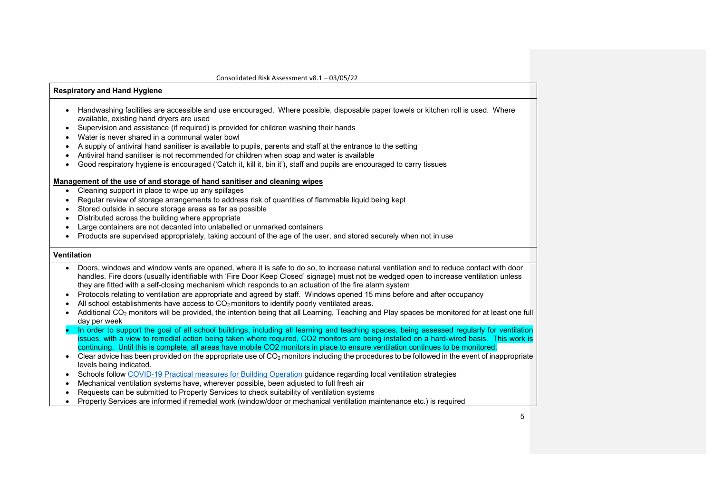# Respiratory and Hand Hygiene

- Handwashing facilities are accessible and use encouraged. Where possible, disposable paper towels or kitchen roll is used. Where available, existing hand dryers are used
- Supervision and assistance (if required) is provided for children washing their hands
- Water is never shared in a communal water bowl
- A supply of antiviral hand sanitiser is available to pupils, parents and staff at the entrance to the setting
- Antiviral hand sanitiser is not recommended for children when soap and water is available
- Good respiratory hygiene is encouraged ('Catch it, kill it, bin it'), staff and pupils are encouraged to carry tissues

#### Management of the use of and storage of hand sanitiser and cleaning wipes

- Cleaning support in place to wipe up any spillages
- Regular review of storage arrangements to address risk of quantities of flammable liquid being kept
- Stored outside in secure storage areas as far as possible
- Distributed across the building where appropriate
- Large containers are not decanted into unlabelled or unmarked containers
- Products are supervised appropriately, taking account of the age of the user, and stored securely when not in use

## Ventilation

- Doors, windows and window vents are opened, where it is safe to do so, to increase natural ventilation and to reduce contact with door handles. Fire doors (usually identifiable with 'Fire Door Keep Closed' signage) must not be wedged open to increase ventilation unless they are fitted with a self-closing mechanism which responds to an actuation of the fire alarm system
- Protocols relating to ventilation are appropriate and agreed by staff. Windows opened 15 mins before and after occupancy
- All school establishments have access to  $CO<sub>2</sub>$  monitors to identify poorly ventilated areas.
- Additional CO<sub>2</sub> monitors will be provided, the intention being that all Learning, Teaching and Play spaces be monitored for at least one full day per week
- In order to support the goal of all school buildings, including all learning and teaching spaces, being assessed regularly for ventilation issues, with a view to remedial action being taken where required, CO2 monitors are being installed on a hard-wired basis. This work is continuing. Until this is complete, all areas have mobile CO2 monitors in place to ensure ventilation continues to be monitored.
- $\bullet$  Clear advice has been provided on the appropriate use of CO<sub>2</sub> monitors including the procedures to be followed in the event of inappropriate levels being indicated.
- Schools follow COVID-19 Practical measures for Building Operation guidance regarding local ventilation strategies
- Mechanical ventilation systems have, wherever possible, been adjusted to full fresh air
- Requests can be submitted to Property Services to check suitability of ventilation systems
- Property Services are informed if remedial work (window/door or mechanical ventilation maintenance etc.) is required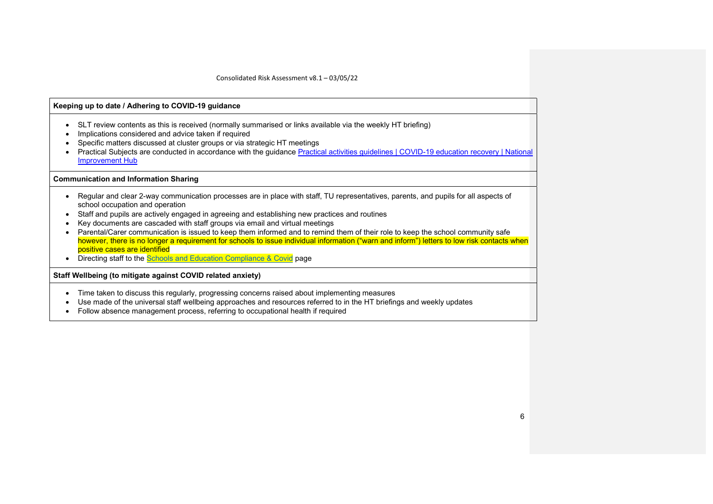# Keeping up to date / Adhering to COVID-19 guidance • SLT review contents as this is received (normally summarised or links available via the weekly HT briefing) • Implications considered and advice taken if required Specific matters discussed at cluster groups or via strategic HT meetings Practical Subjects are conducted in accordance with the guidance Practical activities guidelines | COVID-19 education recovery | National Improvement Hub Communication and Information Sharing • Regular and clear 2-way communication processes are in place with staff, TU representatives, parents, and pupils for all aspects of school occupation and operation Staff and pupils are actively engaged in agreeing and establishing new practices and routines Key documents are cascaded with staff groups via email and virtual meetings • Parental/Carer communication is issued to keep them informed and to remind them of their role to keep the school community safe however, there is no longer a requirement for schools to issue individual information ("warn and inform") letters to low risk contacts when positive cases are identified • Directing staff to the **Schools and Education Compliance & Covid** page Staff Wellbeing (to mitigate against COVID related anxiety) Time taken to discuss this regularly, progressing concerns raised about implementing measures Use made of the universal staff wellbeing approaches and resources referred to in the HT briefings and weekly updates

Follow absence management process, referring to occupational health if required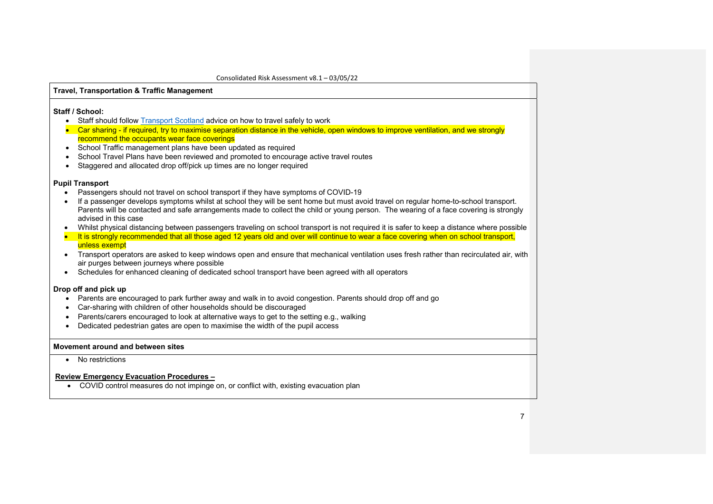# Travel, Transportation & Traffic Management

# Staff / School:

- Staff should follow Transport Scotland advice on how to travel safely to work
- Car sharing if required, try to maximise separation distance in the vehicle, open windows to improve ventilation, and we strongly recommend the occupants wear face coverings
- School Traffic management plans have been updated as required
- School Travel Plans have been reviewed and promoted to encourage active travel routes
- Staggered and allocated drop off/pick up times are no longer required

# Pupil Transport

- Passengers should not travel on school transport if they have symptoms of COVID-19
- If a passenger develops symptoms whilst at school they will be sent home but must avoid travel on regular home-to-school transport. Parents will be contacted and safe arrangements made to collect the child or young person. The wearing of a face covering is strongly advised in this case
- Whilst physical distancing between passengers traveling on school transport is not required it is safer to keep a distance where possible
- It is strongly recommended that all those aged 12 years old and over will continue to wear a face covering when on school transport, unless exempt
- Transport operators are asked to keep windows open and ensure that mechanical ventilation uses fresh rather than recirculated air, with air purges between journeys where possible
- Schedules for enhanced cleaning of dedicated school transport have been agreed with all operators

# Drop off and pick up

- Parents are encouraged to park further away and walk in to avoid congestion. Parents should drop off and go
- Car-sharing with children of other households should be discouraged
- Parents/carers encouraged to look at alternative ways to get to the setting e.g., walking
- Dedicated pedestrian gates are open to maximise the width of the pupil access

## Movement around and between sites

• No restrictions

# Review Emergency Evacuation Procedures –

COVID control measures do not impinge on, or conflict with, existing evacuation plan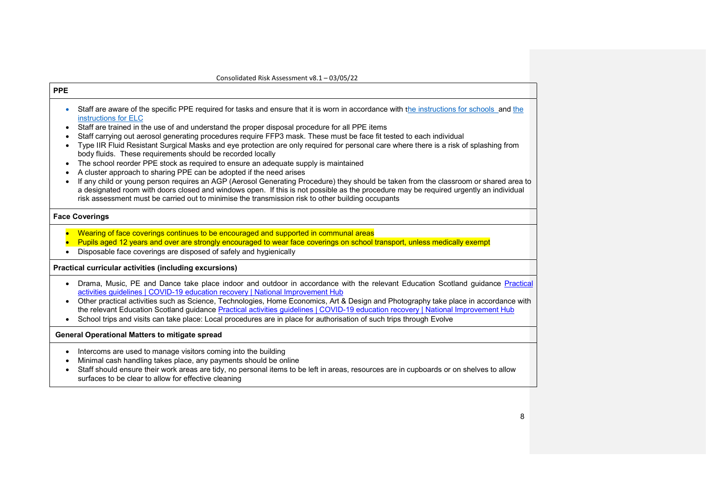$\mathsf{r}$ 

| Staff are aware of the specific PPE required for tasks and ensure that it is worn in accordance with the instructions for schools and the                                                                                                                                                                                                                                                                                                                                                                                                        |
|--------------------------------------------------------------------------------------------------------------------------------------------------------------------------------------------------------------------------------------------------------------------------------------------------------------------------------------------------------------------------------------------------------------------------------------------------------------------------------------------------------------------------------------------------|
| Staff carrying out aerosol generating procedures require FFP3 mask. These must be face fit tested to each individual<br>Type IIR Fluid Resistant Surgical Masks and eye protection are only required for personal care where there is a risk of splashing from<br>If any child or young person requires an AGP (Aerosol Generating Procedure) they should be taken from the classroom or shared area to<br>a designated room with doors closed and windows open. If this is not possible as the procedure may be required urgently an individual |
|                                                                                                                                                                                                                                                                                                                                                                                                                                                                                                                                                  |
| Pupils aged 12 years and over are strongly encouraged to wear face coverings on school transport, unless medically exempt                                                                                                                                                                                                                                                                                                                                                                                                                        |
|                                                                                                                                                                                                                                                                                                                                                                                                                                                                                                                                                  |
| Drama, Music, PE and Dance take place indoor and outdoor in accordance with the relevant Education Scotland guidance Practical<br>Other practical activities such as Science, Technologies, Home Economics, Art & Design and Photography take place in accordance with<br>the relevant Education Scotland guidance Practical activities guidelines   COVID-19 education recovery   National Improvement Hub<br>School trips and visits can take place: Local procedures are in place for authorisation of such trips through Evolve              |
|                                                                                                                                                                                                                                                                                                                                                                                                                                                                                                                                                  |
| Staff should ensure their work areas are tidy, no personal items to be left in areas, resources are in cupboards or on shelves to allow                                                                                                                                                                                                                                                                                                                                                                                                          |
|                                                                                                                                                                                                                                                                                                                                                                                                                                                                                                                                                  |